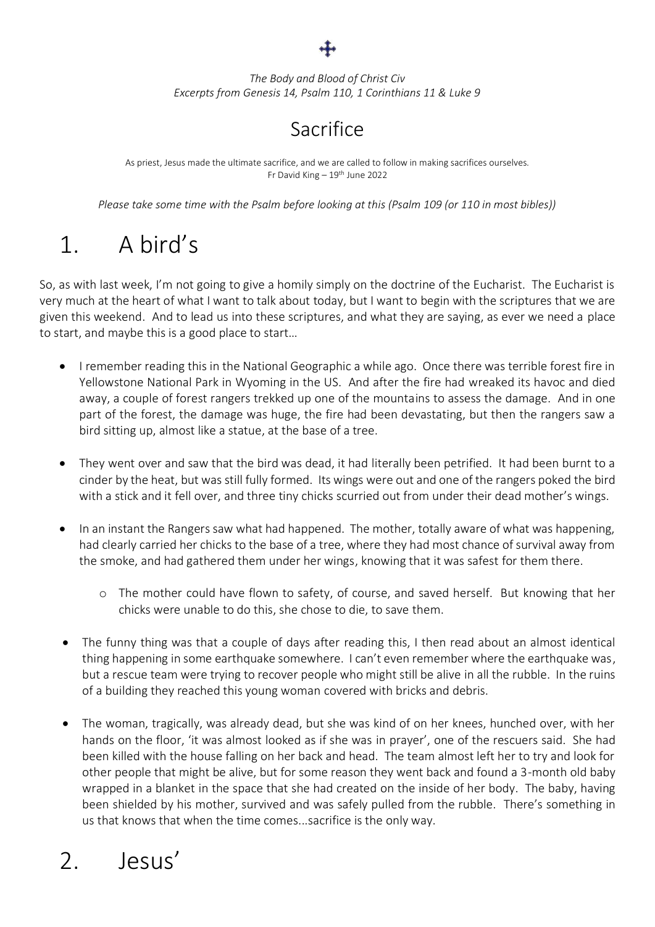

*The Body and Blood of Christ Civ Excerpts from Genesis 14, Psalm 110, 1 Corinthians 11 & Luke 9*

## **Sacrifice**

As priest, Jesus made the ultimate sacrifice, and we are called to follow in making sacrifices ourselves. Fr David King – 19th June 2022

*Please take some time with the Psalm before looking at this (Psalm 109 (or 110 in most bibles))*

## 1. A bird's

So, as with last week, I'm not going to give a homily simply on the doctrine of the Eucharist. The Eucharist is very much at the heart of what I want to talk about today, but I want to begin with the scriptures that we are given this weekend. And to lead us into these scriptures, and what they are saying, as ever we need a place to start, and maybe this is a good place to start…

- I remember reading this in the National Geographic a while ago. Once there was terrible forest fire in Yellowstone National Park in Wyoming in the US. And after the fire had wreaked its havoc and died away, a couple of forest rangers trekked up one of the mountains to assess the damage. And in one part of the forest, the damage was huge, the fire had been devastating, but then the rangers saw a bird sitting up, almost like a statue, at the base of a tree.
- They went over and saw that the bird was dead, it had literally been petrified. It had been burnt to a cinder by the heat, but was still fully formed. Its wings were out and one of the rangers poked the bird with a stick and it fell over, and three tiny chicks scurried out from under their dead mother's wings.
- In an instant the Rangers saw what had happened. The mother, totally aware of what was happening, had clearly carried her chicks to the base of a tree, where they had most chance of survival away from the smoke, and had gathered them under her wings, knowing that it was safest for them there.
	- o The mother could have flown to safety, of course, and saved herself. But knowing that her chicks were unable to do this, she chose to die, to save them.
- The funny thing was that a couple of days after reading this, I then read about an almost identical thing happening in some earthquake somewhere. I can't even remember where the earthquake was, but a rescue team were trying to recover people who might still be alive in all the rubble. In the ruins of a building they reached this young woman covered with bricks and debris.
- The woman, tragically, was already dead, but she was kind of on her knees, hunched over, with her hands on the floor, 'it was almost looked as if she was in prayer', one of the rescuers said. She had been killed with the house falling on her back and head. The team almost left her to try and look for other people that might be alive, but for some reason they went back and found a 3-month old baby wrapped in a blanket in the space that she had created on the inside of her body. The baby, having been shielded by his mother, survived and was safely pulled from the rubble. There's something in us that knows that when the time comes...sacrifice is the only way.

## 2. Jesus'